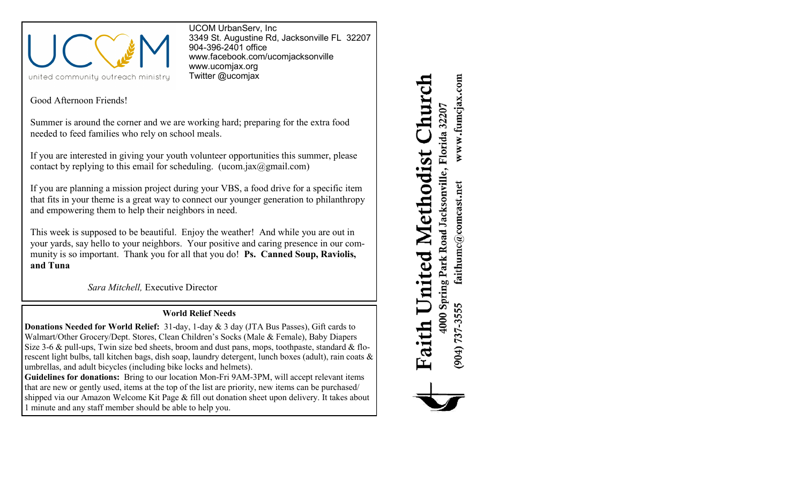

UCOM UrbanServ, Inc 3349 St. Augustine Rd, Jacksonville FL 32207 904-396-2401 office [www.facebook.com/ucomjacksonville](http://www.facebook.com/ucomjacksonville) [www.ucomjax.org](http://www.ucomjax.org) Twitter @ucomjax

Good Afternoon Friends!

Summer is around the corner and we are working hard; preparing for the extra food needed to feed families who rely on school meals.

If you are interested in giving your youth volunteer opportunities this summer, please contact by replying to this email for scheduling. (ucom.jax $(\partial g$ gmail.com)

If you are planning a mission project during your VBS, a food drive for a specific item that fits in your theme is a great way to connect our younger generation to philanthropy and empowering them to help their neighbors in need.

This week is supposed to be beautiful. Enjoy the weather! And while you are out in your yards, say hello to your neighbors. Your positive and caring presence in our community is so important. Thank you for all that you do! **Ps. Canned Soup, Raviolis, and Tuna**

*Sara Mitchell,* Executive Director

## **World Relief Needs**

**Donations Needed for World Relief:** 31-day, 1-day & 3 day (JTA Bus Passes), Gift cards to Walmart/Other Grocery/Dept. Stores, Clean Children's Socks (Male & Female), Baby Diapers Size 3-6 & pull-ups, Twin size bed sheets, broom and dust pans, mops, toothpaste, standard & florescent light bulbs, tall kitchen bags, dish soap, laundry detergent, lunch boxes (adult), rain coats & umbrellas, and adult bicycles (including bike locks and helmets).

**Guidelines for donations:** Bring to our location Mon-Fri 9AM-3PM, will accept relevant items that are new or gently used, items at the top of the list are priority, new items can be purchased/ shipped via our Amazon Welcome Kit Page & fill out donation sheet upon delivery. It takes about 1 minute and any staff member should be able to help you.

www.fumcjax.com huro 4000 Spring Park Road Jacksonville, Florida 32207 United Methodist faithumc@comcast.net (904) 737-3555 Faith